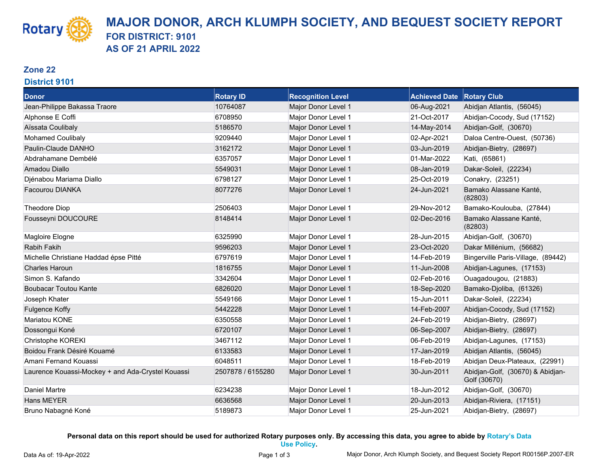### **Zone 22**

**Rotary** 

#### **District 9101**

| <b>Donor</b>                                      | <b>Rotary ID</b>  | <b>Recognition Level</b> | <b>Achieved Date Rotary Club</b> |                                                  |
|---------------------------------------------------|-------------------|--------------------------|----------------------------------|--------------------------------------------------|
| Jean-Philippe Bakassa Traore                      | 10764087          | Major Donor Level 1      | 06-Aug-2021                      | Abidjan Atlantis, (56045)                        |
| Alphonse E Coffi                                  | 6708950           | Major Donor Level 1      | 21-Oct-2017                      | Abidjan-Cocody, Sud (17152)                      |
| Aïssata Coulibaly                                 | 5186570           | Major Donor Level 1      | 14-May-2014                      | Abidjan-Golf, (30670)                            |
| <b>Mohamed Coulibaly</b>                          | 9209440           | Major Donor Level 1      | 02-Apr-2021                      | Daloa Centre-Ouest, (50736)                      |
| Paulin-Claude DANHO                               | 3162172           | Major Donor Level 1      | 03-Jun-2019                      | Abidjan-Bietry, (28697)                          |
| Abdrahamane Dembélé                               | 6357057           | Major Donor Level 1      | 01-Mar-2022                      | Kati, (65861)                                    |
| Amadou Diallo                                     | 5549031           | Major Donor Level 1      | 08-Jan-2019                      | Dakar-Soleil, (22234)                            |
| Djénabou Mariama Diallo                           | 6798127           | Major Donor Level 1      | 25-Oct-2019                      | Conakry, (23251)                                 |
| Facourou DIANKA                                   | 8077276           | Major Donor Level 1      | 24-Jun-2021                      | Bamako Alassane Kanté,<br>(82803)                |
| Theodore Diop                                     | 2506403           | Major Donor Level 1      | 29-Nov-2012                      | Bamako-Koulouba, (27844)                         |
| Fousseyni DOUCOURE                                | 8148414           | Major Donor Level 1      | 02-Dec-2016                      | Bamako Alassane Kanté,<br>(82803)                |
| Magloire Elogne                                   | 6325990           | Major Donor Level 1      | 28-Jun-2015                      | Abidjan-Golf, (30670)                            |
| Rabih Fakih                                       | 9596203           | Major Donor Level 1      | 23-Oct-2020                      | Dakar Millénium, (56682)                         |
| Michelle Christiane Haddad épse Pitté             | 6797619           | Major Donor Level 1      | 14-Feb-2019                      | Bingerville Paris-Village, (89442)               |
| <b>Charles Haroun</b>                             | 1816755           | Major Donor Level 1      | 11-Jun-2008                      | Abidjan-Lagunes, (17153)                         |
| Simon S. Kafando                                  | 3342604           | Major Donor Level 1      | 02-Feb-2016                      | Ouagadougou, (21883)                             |
| <b>Boubacar Toutou Kante</b>                      | 6826020           | Major Donor Level 1      | 18-Sep-2020                      | Bamako-Djoliba, (61326)                          |
| Joseph Khater                                     | 5549166           | Major Donor Level 1      | 15-Jun-2011                      | Dakar-Soleil, (22234)                            |
| <b>Fulgence Koffy</b>                             | 5442228           | Major Donor Level 1      | 14-Feb-2007                      | Abidjan-Cocody, Sud (17152)                      |
| Mariatou KONE                                     | 6350558           | Major Donor Level 1      | 24-Feb-2019                      | Abidjan-Bietry, (28697)                          |
| Dossongui Koné                                    | 6720107           | Major Donor Level 1      | 06-Sep-2007                      | Abidjan-Bietry, (28697)                          |
| Christophe KOREKI                                 | 3467112           | Major Donor Level 1      | 06-Feb-2019                      | Abidjan-Lagunes, (17153)                         |
| Boidou Frank Désiré Kouamé                        | 6133583           | Major Donor Level 1      | 17-Jan-2019                      | Abidjan Atlantis, (56045)                        |
| Amani Fernand Kouassi                             | 6048511           | Major Donor Level 1      | 18-Feb-2019                      | Abidjan Deux-Plateaux, (22991)                   |
| Laurence Kouassi-Mockey + and Ada-Crystel Kouassi | 2507878 / 6155280 | Major Donor Level 1      | 30-Jun-2011                      | Abidjan-Golf, (30670) & Abidjan-<br>Golf (30670) |
| Daniel Martre                                     | 6234238           | Major Donor Level 1      | 18-Jun-2012                      | Abidjan-Golf, (30670)                            |
| <b>Hans MEYER</b>                                 | 6636568           | Major Donor Level 1      | 20-Jun-2013                      | Abidjan-Riviera, (17151)                         |
| Bruno Nabagné Koné                                | 5189873           | Major Donor Level 1      | 25-Jun-2021                      | Abidjan-Bietry, (28697)                          |

**Personal data on this report should be used for authorized Rotary purposes only. By accessing this data, you agree to abide by [Rotary's Data](https://my.rotary.org/en/personal-data-use-policy)**

**[Use Policy.](https://my.rotary.org/en/personal-data-use-policy)**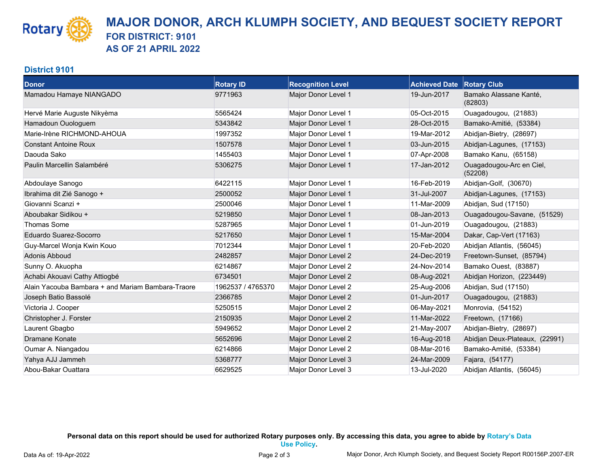### **District 9101**

**Rotary** 

| <b>Donor</b>                                      | <b>Rotary ID</b>  | <b>Recognition Level</b> | <b>Achieved Date Rotary Club</b> |                                     |
|---------------------------------------------------|-------------------|--------------------------|----------------------------------|-------------------------------------|
| Mamadou Hamaye NIANGADO                           | 9771963           | Major Donor Level 1      | 19-Jun-2017                      | Bamako Alassane Kanté,<br>(82803)   |
| Hervé Marie Auguste Nikyèma                       | 5565424           | Major Donor Level 1      | 05-Oct-2015                      | Ouagadougou, (21883)                |
| Hamadoun Ouologuem                                | 5343842           | Major Donor Level 1      | 28-Oct-2015                      | Bamako-Amitié, (53384)              |
| Marie-Irène RICHMOND-AHOUA                        | 1997352           | Major Donor Level 1      | 19-Mar-2012                      | Abidjan-Bietry, (28697)             |
| <b>Constant Antoine Roux</b>                      | 1507578           | Major Donor Level 1      | 03-Jun-2015                      | Abidjan-Lagunes, (17153)            |
| Daouda Sako                                       | 1455403           | Major Donor Level 1      | 07-Apr-2008                      | Bamako Kanu, (65158)                |
| Paulin Marcellin Salambéré                        | 5306275           | Major Donor Level 1      | 17-Jan-2012                      | Ouagadougou-Arc en Ciel,<br>(52208) |
| Abdoulaye Sanogo                                  | 6422115           | Major Donor Level 1      | 16-Feb-2019                      | Abidjan-Golf, (30670)               |
| Ibrahima dit Zié Sanogo +                         | 2500052           | Major Donor Level 1      | 31-Jul-2007                      | Abidjan-Lagunes, (17153)            |
| Giovanni Scanzi +                                 | 2500046           | Major Donor Level 1      | 11-Mar-2009                      | Abidjan, Sud (17150)                |
| Aboubakar Sidikou +                               | 5219850           | Major Donor Level 1      | 08-Jan-2013                      | Ouagadougou-Savane, (51529)         |
| <b>Thomas Some</b>                                | 5287965           | Major Donor Level 1      | 01-Jun-2019                      | Ouagadougou, (21883)                |
| Eduardo Suarez-Socorro                            | 5217650           | Major Donor Level 1      | 15-Mar-2004                      | Dakar, Cap-Vert (17163)             |
| Guy-Marcel Wonja Kwin Kouo                        | 7012344           | Major Donor Level 1      | 20-Feb-2020                      | Abidjan Atlantis, (56045)           |
| Adonis Abboud                                     | 2482857           | Major Donor Level 2      | 24-Dec-2019                      | Freetown-Sunset, (85794)            |
| Sunny O. Akuopha                                  | 6214867           | Major Donor Level 2      | 24-Nov-2014                      | Bamako Ouest, (83887)               |
| Achabi Akouavi Cathy Attiogbé                     | 6734501           | Major Donor Level 2      | 08-Aug-2021                      | Abidjan Horizon, (223449)           |
| Alain Yacouba Bambara + and Mariam Bambara-Traore | 1962537 / 4765370 | Major Donor Level 2      | 25-Aug-2006                      | Abidjan, Sud (17150)                |
| Joseph Batio Bassolé                              | 2366785           | Major Donor Level 2      | 01-Jun-2017                      | Ouagadougou, (21883)                |
| Victoria J. Cooper                                | 5250515           | Major Donor Level 2      | 06-May-2021                      | Monrovia, (54152)                   |
| Christopher J. Forster                            | 2150935           | Major Donor Level 2      | 11-Mar-2022                      | Freetown, (17166)                   |
| Laurent Gbagbo                                    | 5949652           | Major Donor Level 2      | 21-May-2007                      | Abidjan-Bietry, (28697)             |
| Dramane Konate                                    | 5652696           | Major Donor Level 2      | 16-Aug-2018                      | Abidjan Deux-Plateaux, (22991)      |
| Oumar A. Niangadou                                | 6214866           | Major Donor Level 2      | 08-Mar-2016                      | Bamako-Amitié, (53384)              |
| Yahya AJJ Jammeh                                  | 5368777           | Major Donor Level 3      | 24-Mar-2009                      | Fajara, (54177)                     |
| Abou-Bakar Ouattara                               | 6629525           | Major Donor Level 3      | 13-Jul-2020                      | Abidjan Atlantis, (56045)           |

**Personal data on this report should be used for authorized Rotary purposes only. By accessing this data, you agree to abide by [Rotary's Data](https://my.rotary.org/en/personal-data-use-policy)**

**[Use Policy.](https://my.rotary.org/en/personal-data-use-policy)**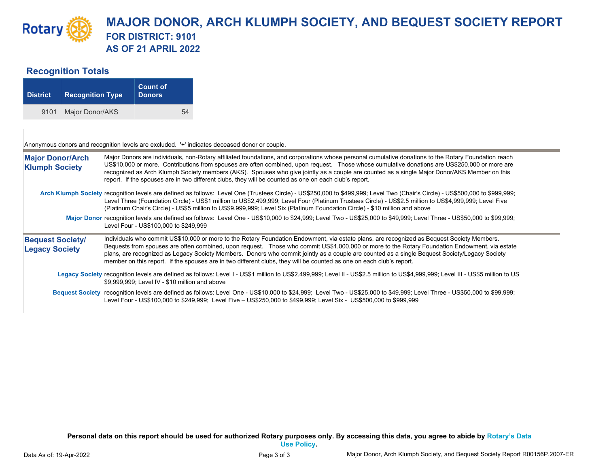## **Recognition Totals**

| <b>District</b> | <b>Recognition Type</b> | <b>Count of</b><br><b>Donors</b> |    |
|-----------------|-------------------------|----------------------------------|----|
| 9101            | Major Donor/AKS         |                                  | 54 |

Anonymous donors and recognition levels are excluded. '+' indicates deceased donor or couple.

| Major Donors are individuals, non-Rotary affiliated foundations, and corporations whose personal cumulative donations to the Rotary Foundation reach<br><b>Major Donor/Arch</b><br>US\$10,000 or more. Contributions from spouses are often combined, upon request. Those whose cumulative donations are US\$250,000 or more are<br><b>Klumph Society</b><br>recognized as Arch Klumph Society members (AKS). Spouses who give jointly as a couple are counted as a single Major Donor/AKS Member on this<br>report. If the spouses are in two different clubs, they will be counted as one on each club's report. |                                                                                                                                                                                                                                                                                                                                                                                                                                                                                                                                                                      |  |  |  |  |  |  |  |  |
|--------------------------------------------------------------------------------------------------------------------------------------------------------------------------------------------------------------------------------------------------------------------------------------------------------------------------------------------------------------------------------------------------------------------------------------------------------------------------------------------------------------------------------------------------------------------------------------------------------------------|----------------------------------------------------------------------------------------------------------------------------------------------------------------------------------------------------------------------------------------------------------------------------------------------------------------------------------------------------------------------------------------------------------------------------------------------------------------------------------------------------------------------------------------------------------------------|--|--|--|--|--|--|--|--|
|                                                                                                                                                                                                                                                                                                                                                                                                                                                                                                                                                                                                                    | Arch Klumph Society recognition levels are defined as follows: Level One (Trustees Circle) - US\$250,000 to \$499,999; Level Two (Chair's Circle) - US\$500,000 to \$999,999;<br>Level Three (Foundation Circle) - US\$1 million to US\$2,499,999; Level Four (Platinum Trustees Circle) - US\$2.5 million to US\$4,999,999; Level Five<br>(Platinum Chair's Circle) - US\$5 million to US\$9,999,999; Level Six (Platinum Foundation Circle) - \$10 million and above                                                                                               |  |  |  |  |  |  |  |  |
|                                                                                                                                                                                                                                                                                                                                                                                                                                                                                                                                                                                                                    | Major Donor recognition levels are defined as follows: Level One - US\$10,000 to \$24,999; Level Two - US\$25,000 to \$49,999; Level Three - US\$50,000 to \$99,999;<br>Level Four - US\$100,000 to \$249,999                                                                                                                                                                                                                                                                                                                                                        |  |  |  |  |  |  |  |  |
| <b>Bequest Society/</b><br><b>Legacy Society</b>                                                                                                                                                                                                                                                                                                                                                                                                                                                                                                                                                                   | Individuals who commit US\$10,000 or more to the Rotary Foundation Endowment, via estate plans, are recognized as Bequest Society Members.<br>Bequests from spouses are often combined, upon request. Those who commit US\$1,000,000 or more to the Rotary Foundation Endowment, via estate<br>plans, are recognized as Legacy Society Members. Donors who commit jointly as a couple are counted as a single Bequest Society/Legacy Society<br>member on this report. If the spouses are in two different clubs, they will be counted as one on each club's report. |  |  |  |  |  |  |  |  |
|                                                                                                                                                                                                                                                                                                                                                                                                                                                                                                                                                                                                                    | Legacy Society recognition levels are defined as follows: Level I - US\$1 million to US\$2,499,999; Level II - US\$2.5 million to US\$4,999,999; Level III - US\$5 million to US<br>\$9.999.999: Level IV - \$10 million and above                                                                                                                                                                                                                                                                                                                                   |  |  |  |  |  |  |  |  |
|                                                                                                                                                                                                                                                                                                                                                                                                                                                                                                                                                                                                                    | Bequest Society recognition levels are defined as follows: Level One - US\$10,000 to \$24,999; Level Two - US\$25,000 to \$49,999; Level Three - US\$50,000 to \$99,999;<br>Level Four - US\$100,000 to \$249,999; Level Five - US\$250,000 to \$499,999; Level Six - US\$500,000 to \$999,999                                                                                                                                                                                                                                                                       |  |  |  |  |  |  |  |  |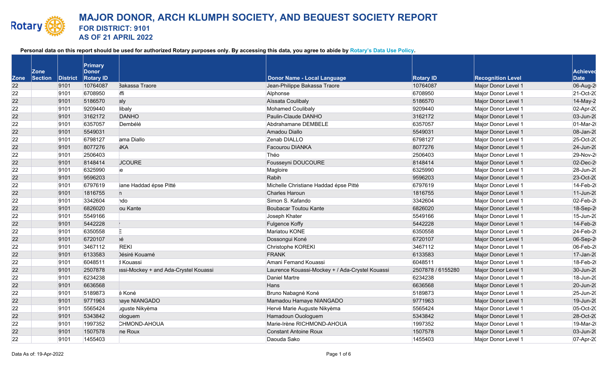|             |                        |          | Primary                   |                                       |                                                 |                   |                          |                                |
|-------------|------------------------|----------|---------------------------|---------------------------------------|-------------------------------------------------|-------------------|--------------------------|--------------------------------|
| <b>Zone</b> | <b>Zone</b><br>Section | District | Donor<br><b>Rotary ID</b> |                                       | Donor Name - Local Language                     | <b>Rotary ID</b>  | <b>Recognition Level</b> | <b>Achieved</b><br><b>Date</b> |
| 22          |                        | 9101     | 10764087                  | <b>Bakassa Traore</b>                 | Jean-Philippe Bakassa Traore                    | 10764087          | Major Donor Level 1      | 06-Aug-2                       |
| 22          |                        | 9101     | 6708950                   | lffi                                  | Alphonse                                        | 6708950           | Major Donor Level 1      | 21-Oct-20                      |
| 22          |                        | 9101     | 5186570                   | aly                                   | Aïssata Coulibaly                               | 5186570           | Major Donor Level 1      | 14-May-2                       |
| 22          |                        | 9101     | 9209440                   | libaly                                | Mohamed Coulibaly                               | 9209440           | Major Donor Level 1      | 02-Apr-20                      |
| 22          |                        | 9101     | 3162172                   | <b>DANHO</b>                          | Paulin-Claude DANHO                             | 3162172           | Major Donor Level 1      | 03-Jun-20                      |
| 22          |                        | 9101     | 6357057                   | Dembélé                               | Abdrahamane DEMBELE                             | 6357057           | Major Donor Level 1      | 01-Mar-2                       |
| 22          |                        | 9101     | 5549031                   |                                       | Amadou Diallo                                   | 5549031           | Major Donor Level 1      | 08-Jan-20                      |
| 22          |                        | 9101     | 6798127                   | ama Diallo                            | Zenab DIALLO                                    | 6798127           | Major Donor Level 1      | 25-Oct-20                      |
| 22          |                        | 9101     | 8077276                   | <b>JKA</b>                            | <b>Facourou DIANKA</b>                          | 8077276           | Major Donor Level 1      | 24-Jun-20                      |
| 22          |                        | 9101     | 2506403                   |                                       | Théo                                            | 2506403           | Major Donor Level 1      | 29-Nov-2                       |
| 22          |                        | 9101     | 8148414                   | <b>JCOURE</b>                         | Fousseyni DOUCOURE                              | 8148414           | Major Donor Level 1      | 02-Dec-2                       |
| 22          |                        | 9101     | 6325990                   | ie                                    | Magloire                                        | 6325990           | Major Donor Level 1      | 28-Jun-20                      |
| 22          |                        | 9101     | 9596203                   |                                       | Rabih                                           | 9596203           | Major Donor Level 1      | 23-Oct-20                      |
| 22          |                        | 9101     | 6797619                   | iane Haddad épse Pitté                | Michelle Christiane Haddad épse Pitté           | 6797619           | Major Donor Level 1      | 14-Feb-2                       |
| 22          |                        | 9101     | 1816755                   | n                                     | <b>Charles Haroun</b>                           | 1816755           | Major Donor Level 1      | 11-Jun-20                      |
| 22          |                        | 9101     | 3342604                   | ndo                                   | Simon S. Kafando                                | 3342604           | Major Donor Level 1      | 02-Feb-2                       |
| 22          |                        | 9101     | 6826020                   | ou Kante                              | <b>Boubacar Toutou Kante</b>                    | 6826020           | Major Donor Level 1      | 18-Sep-2                       |
| 22          |                        | 9101     | 5549166                   |                                       | Joseph Khater                                   | 5549166           | Major Donor Level 1      | 15-Jun-20                      |
| 22          |                        | 9101     | 5442228                   |                                       | <b>Fulgence Koffy</b>                           | 5442228           | Major Donor Level 1      | 14-Feb-2                       |
| 22          |                        | 9101     | 6350558                   | Ε                                     | Mariatou KONE                                   | 6350558           | Major Donor Level 1      | 24-Feb-2                       |
| 22          |                        | 9101     | 6720107                   | ıé                                    | Dossongui Koné                                  | 6720107           | Major Donor Level 1      | 06-Sep-2                       |
| 22          |                        | 9101     | 3467112                   | <b>REKI</b>                           | Christophe KOREKI                               | 3467112           | Major Donor Level 1      | 06-Feb-2                       |
| 22          |                        | 9101     | 6133583                   | Désiré Kouamé                         | <b>FRANK</b>                                    | 6133583           | Major Donor Level 1      | 17-Jan-20                      |
| 22          |                        | 9101     | 6048511                   | I Kouassi                             | Amani Fernand Kouassi                           | 6048511           | Major Donor Level 1      | 18-Feb-2                       |
| 22          |                        | 9101     | 2507878                   | assi-Mockey + and Ada-Crystel Kouassi | Laurence Kouassi-Mockey + / Ada-Crystel Kouassi | 2507878 / 6155280 | Major Donor Level 1      | 30-Jun-20                      |
| 22          |                        | 9101     | 6234238                   |                                       | Daniel Martre                                   | 6234238           | Major Donor Level 1      | 18-Jun-20                      |
| 22          |                        | 9101     | 6636568                   |                                       | Hans                                            | 6636568           | Major Donor Level 1      | 20-Jun-20                      |
| 22          |                        | 9101     | 5189873                   | é Koné                                | Bruno Nabagné Koné                              | 5189873           | Major Donor Level 1      | 25-Jun-20                      |
| 22          |                        | 9101     | 9771963                   | haye NIANGADO                         | Mamadou Hamaye NIANGADO                         | 9771963           | Major Donor Level 1      | 19-Jun-20                      |
| 22          |                        | 9101     | 5565424                   | uguste Nikyèma                        | Hervé Marie Auguste Nikyèma                     | 5565424           | Major Donor Level 1      | 05-Oct-20                      |
| 22          |                        | 9101     | 5343842                   | ologuem                               | Hamadoun Ouologuem                              | 5343842           | Major Donor Level 1      | 28-Oct-20                      |
| 22          |                        | 9101     | 1997352                   | CHMOND-AHOUA                          | Marie-Irène RICHMOND-AHOUA                      | 1997352           | Major Donor Level 1      | 19-Mar-2                       |
| 22          |                        | 9101     | 1507578                   | ne Roux                               | <b>Constant Antoine Roux</b>                    | 1507578           | Major Donor Level 1      | 03-Jun-20                      |
| 22          |                        | 9101     | 1455403                   |                                       | Daouda Sako                                     | 1455403           | Major Donor Level 1      | 07-Apr-20                      |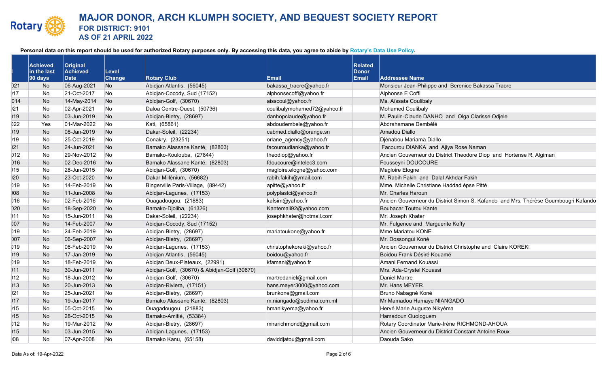|       | <b>Achieved</b><br>in the last<br>$ 90 \text{ days} $ | Original<br>Achieved<br>Date | Level<br><b>Change</b> | <b>Rotary Club</b>                           | Email                       | <b>Related</b><br><b>Donor</b><br><b>Email</b> | <b>Addressee Name</b>                                                              |
|-------|-------------------------------------------------------|------------------------------|------------------------|----------------------------------------------|-----------------------------|------------------------------------------------|------------------------------------------------------------------------------------|
| 021   | No                                                    | 06-Aug-2021                  | No                     | Abidjan Atlantis, (56045)                    | bakassa_traore@yahoo.fr     |                                                | Monsieur Jean-Philippe and Berenice Bakassa Traore                                 |
| 117   | No                                                    | 21-Oct-2017                  | No                     | Abidjan-Cocody, Sud (17152)                  | alphonsecoffi@yahoo.fr      |                                                | Alphonse E Coffi                                                                   |
| 014   | No                                                    | 14-May-2014                  | N <sub>o</sub>         | Abidjan-Golf, (30670)                        | aisscoul@yahoo.fr           |                                                | Ms. Aïssata Coulibaly                                                              |
| )21   | No                                                    | 02-Apr-2021                  | No                     | Daloa Centre-Ouest, (50736)                  | coulibalymohamed72@yahoo.fr |                                                | Mohamed Coulibaly                                                                  |
| 019   | No                                                    | 03-Jun-2019                  | N <sub>o</sub>         | Abidjan-Bietry, (28697)                      | danhopclaude@yahoo.fr       |                                                | M. Paulin-Claude DANHO and Olga Clarisse Odjele                                    |
| 022   | Yes                                                   | 01-Mar-2022                  | No                     | Kati, (65861)                                | abdoudembele@yahoo.fr       |                                                | Abdrahamane Dembélé                                                                |
| )19   | No                                                    | 08-Jan-2019                  | No                     | Dakar-Soleil, (22234)                        | cabmed.diallo@orange.sn     |                                                | Amadou Diallo                                                                      |
| )19   | No                                                    | 25-Oct-2019                  | No                     | Conakry, (23251)                             | orlane agency@yahoo.fr      |                                                | Djénabou Mariama Diallo                                                            |
| )21   | No                                                    | 24-Jun-2021                  | No                     | Bamako Alassane Kanté, (82803)               | facouroudianka@yahoo.fr     |                                                | Facourou DIANKA and Ajiya Rose Naman                                               |
| 012   | No                                                    | 29-Nov-2012                  | No                     | Bamako-Koulouba, (27844)                     | theodiop@yahoo.fr           |                                                | Ancien Gouverneur du District Theodore Diop and Hortense R. Algiman                |
| 016   | No                                                    | 02-Dec-2016                  | No                     | Bamako Alassane Kanté, (82803)               | fdoucoure@intelec3.com      |                                                | Fousseyni DOUCOURE                                                                 |
| $15$  | No                                                    | 28-Jun-2015                  | No                     | Abidjan-Golf, (30670)                        | magloire.elogne@yahoo.com   |                                                | Magloire Elogne                                                                    |
| )20   | No                                                    | 23-Oct-2020                  | No                     | Dakar Millénium, (56682)                     | rabih.fakih@ymail.com       |                                                | M. Rabih Fakih and Dalal Akhdar Fakih                                              |
| 019   | No                                                    | 14-Feb-2019                  | No                     | Bingerville Paris-Village, (89442)           | apitte@yahoo.fr             |                                                | Mme. Michelle Christiane Haddad épse Pitté                                         |
| 008   | No                                                    | 11-Jun-2008                  | No                     | Abidjan-Lagunes, (17153)                     | polyplastci@yahoo.fr        |                                                | Mr. Charles Haroun                                                                 |
| 016   | No                                                    | 02-Feb-2016                  | No                     | Ouagadougou, (21883)                         | kafsim@yahoo.fr             |                                                | Ancien Gouverneur du District Simon S. Kafando and Mrs. Thérèse Goumbougri Kafando |
| 020   | No                                                    | 18-Sep-2020                  | N <sub>o</sub>         | Bamako-Djoliba, (61326)                      | Kantemali92@yahoo.com       |                                                | <b>Boubacar Toutou Kante</b>                                                       |
| $11$  | No                                                    | 15-Jun-2011                  | No                     | Dakar-Soleil, (22234)                        | josephkhater@hotmail.com    |                                                | Mr. Joseph Khater                                                                  |
| 007   | No                                                    | 14-Feb-2007                  | No                     | Abidjan-Cocody, Sud (17152)                  |                             |                                                | Mr. Fulgence and Marguerite Koffy                                                  |
| 019   | No                                                    | 24-Feb-2019                  | No                     | Abidjan-Bietry, (28697)                      | mariatoukone@yahoo.fr       |                                                | Mme Mariatou KONE                                                                  |
| 007   | No                                                    | 06-Sep-2007                  | N <sub>o</sub>         | Abidjan-Bietry, (28697)                      |                             |                                                | Mr. Dossongui Koné                                                                 |
| 019   | <b>No</b>                                             | 06-Feb-2019                  | No                     | Abidjan-Lagunes, (17153)                     | christophekoreki@yahoo.fr   |                                                | Ancien Gouverneur du District Christophe and Claire KOREKI                         |
| )19   | <b>No</b>                                             | 17-Jan-2019                  | No                     | Abidjan Atlantis, (56045)                    | boidou@yahoo.fr             |                                                | Boidou Frank Désiré Kouamé                                                         |
| 019   | No                                                    | 18-Feb-2019                  | No                     | Abidjan Deux-Plateaux, (22991)               | kfamani@yahoo.fr            |                                                | Amani Fernand Kouassi                                                              |
| 011   | <b>No</b>                                             | 30-Jun-2011                  | No                     | Abidjan-Golf, (30670) & Abidjan-Golf (30670) |                             |                                                | Mrs. Ada-Crystel Kouassi                                                           |
| $12$  | No                                                    | 18-Jun-2012                  | No                     | Abidjan-Golf, (30670)                        | martredaniel@gmail.com      |                                                | Daniel Martre                                                                      |
| $13$  | <b>No</b>                                             | 20-Jun-2013                  | No                     | Abidjan-Riviera, (17151)                     | hans.meyer3000@yahoo.com    |                                                | Mr. Hans MEYER                                                                     |
| )21   | No                                                    | 25-Jun-2021                  | No                     | Abidjan-Bietry, (28697)                      | brunkone@gmail.com          |                                                | Bruno Nabagné Koné                                                                 |
| 017   | No                                                    | 19-Jun-2017                  | N <sub>o</sub>         | Bamako Alassane Kanté, (82803)               | m.niangado@sodima.com.ml    |                                                | Mr Mamadou Hamaye NIANGADO                                                         |
| )15   | <b>No</b>                                             | 05-Oct-2015                  | No                     | Ouagadougou, (21883)                         | hmanikyema@yahoo.fr         |                                                | Hervé Marie Auguste Nikyèma                                                        |
| )15   | <b>No</b>                                             | 28-Oct-2015                  | No                     | Bamako-Amitié, (53384)                       |                             |                                                | Hamadoun Ouologuem                                                                 |
| 012   | No                                                    | 19-Mar-2012                  | No                     | Abidjan-Bietry, (28697)                      | mirarichmond@gmail.com      |                                                | Rotary Coordinator Marie-Irène RICHMOND-AHOUA                                      |
| $015$ | <b>No</b>                                             | 03-Jun-2015                  | No                     | Abidjan-Lagunes, (17153)                     |                             |                                                | Ancien Gouverneur du District Constant Antoine Roux                                |
| 008   | <b>No</b>                                             | 07-Apr-2008                  | <b>No</b>              | Bamako Kanu, (65158)                         | daviddjatou@gmail.com       |                                                | Daouda Sako                                                                        |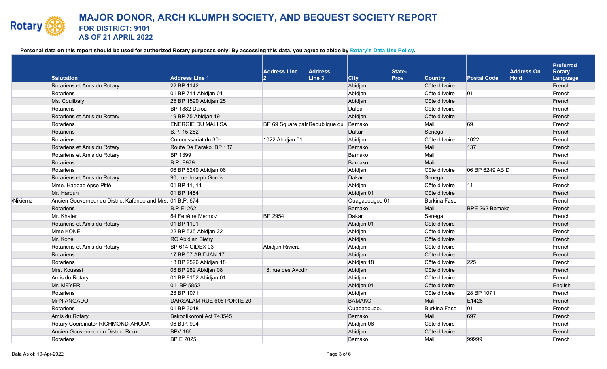|                 | <b>Salutation</b>                                          | <b>Address Line 1</b>     | <b>Address Line</b>             | Address<br>$\vert$ Line 3 | $ $ City       | State-<br><b>Prov</b> | <b>Country</b>      | <b>Postal Code</b> | <b>Address On</b><br>Hold | Preferred<br>Rotary<br>Language |  |
|-----------------|------------------------------------------------------------|---------------------------|---------------------------------|---------------------------|----------------|-----------------------|---------------------|--------------------|---------------------------|---------------------------------|--|
|                 | Rotariens et Amis du Rotary                                | 22 BP 1142                |                                 |                           | Abidjan        |                       | Côte d'Ivoire       |                    |                           | French                          |  |
|                 | Rotariens                                                  | 01 BP 711 Abidjan 01      |                                 |                           | Abidjan        |                       | Côte d'Ivoire       | 01                 |                           | French                          |  |
|                 | Ms. Coulibaly                                              | 25 BP 1599 Abidjan 25     |                                 |                           | Abidjan        |                       | Côte d'Ivoire       |                    |                           | French                          |  |
|                 | Rotariens                                                  | BP 1882 Daloa             |                                 |                           | Daloa          |                       | Côte d'Ivoire       |                    |                           | French                          |  |
|                 | Rotariens et Amis du Rotary                                | 19 BP 75 Abidjan 19       |                                 |                           | Abidjan        |                       | Côte d'Ivoire       |                    |                           | French                          |  |
|                 | Rotariens                                                  | <b>ENERGIE DU MALI SA</b> | BP 69 Square patr République du |                           | Bamako         |                       | Mali                | 69                 |                           | French                          |  |
|                 | Rotariens                                                  | B.P. 15 282               |                                 |                           | Dakar          |                       | Senegal             |                    |                           | French                          |  |
|                 | Rotariens                                                  | Commissariat du 30e       | 1022 Abidjan 01                 |                           | Abidjan        |                       | Côte d'Ivoire       | 1022               |                           | French                          |  |
|                 | Rotariens et Amis du Rotary                                | Route De Farako, BP 137   |                                 |                           | Bamako         |                       | Mali                | 137                |                           | French                          |  |
|                 | Rotariens et Amis du Rotary                                | <b>BP 1399</b>            |                                 |                           | Bamako         |                       | Mali                |                    |                           | French                          |  |
|                 | Rotariens                                                  | <b>B.P. E979</b>          |                                 |                           | Bamako         |                       | Mali                |                    |                           | French                          |  |
|                 | Rotariens                                                  | 06 BP 6249 Abidjan 06     |                                 |                           | Abidjan        |                       | Côte d'Ivoire       | 06 BP 6249 ABID    |                           | French                          |  |
|                 | Rotariens et Amis du Rotary                                | 90, rue Joseph Gomis      |                                 |                           | Dakar          |                       | Senegal             |                    |                           | French                          |  |
|                 | Mme. Haddad épse Pitté                                     | 01 BP 11, 11              |                                 |                           | Abidjan        |                       | Côte d'Ivoire       | 11                 |                           | French                          |  |
|                 | Mr. Haroun                                                 | 01 BP 1454                |                                 |                           | Abidjan 01     |                       | Côte d'Ivoire       |                    |                           | French                          |  |
| <b>/Nikiema</b> | Ancien Gouverneur du District Kafando and Mrs. 01 B.P. 674 |                           |                                 |                           | Ouagadougou 01 |                       | Burkina Faso        |                    |                           | French                          |  |
|                 | Rotariens                                                  | B.P.E. 262                |                                 |                           | Bamako         |                       | Mali                | BPE 262 Bamakc     |                           | French                          |  |
|                 | Mr. Khater                                                 | 84 Fenêtre Mermoz         | <b>BP 2954</b>                  |                           | Dakar          |                       | Senegal             |                    |                           | French                          |  |
|                 | Rotariens et Amis du Rotary                                | 01 BP 1191                |                                 |                           | Abidjan 01     |                       | Côte d'Ivoire       |                    |                           | French                          |  |
|                 | Mme KONE                                                   | 22 BP 535 Abidjan 22      |                                 |                           | Abidjan        |                       | Côte d'Ivoire       |                    |                           | French                          |  |
|                 | Mr. Koné                                                   | RC Abidjan Bietry         |                                 |                           | Abidjan        |                       | Côte d'Ivoire       |                    |                           | French                          |  |
|                 | Rotariens et Amis du Rotary                                | BP 614 CIDEX 03           | Abidjan Riviera                 |                           | Abidjan        |                       | Côte d'Ivoire       |                    |                           | French                          |  |
|                 | Rotariens                                                  | 17 BP 07 ABIDJAN 17       |                                 |                           | Abidjan        |                       | Côte d'Ivoire       |                    |                           | French                          |  |
|                 | Rotariens                                                  | 18 BP 2526 Abidjan 18     |                                 |                           | Abidjan 18     |                       | Côte d'Ivoire       | 225                |                           | French                          |  |
|                 | Mrs. Kouassi                                               | 08 BP 282 Abidjan 08      | 18, rue des Avodir              |                           | Abidjan        |                       | Côte d'Ivoire       |                    |                           | French                          |  |
|                 | Amis du Rotary                                             | 01 BP 8152 Abidjan 01     |                                 |                           | Abidjan        |                       | Côte d'Ivoire       |                    |                           | French                          |  |
|                 | Mr. MEYER                                                  | 01 BP 5852                |                                 |                           | Abidjan 01     |                       | Côte d'Ivoire       |                    |                           | English                         |  |
|                 | Rotariens                                                  | 28 BP 1071                |                                 |                           | Abidjan        |                       | Côte d'Ivoire       | 28 BP 1071         |                           | French                          |  |
|                 | Mr NIANGADO                                                | DARSALAM RUE 608 PORTE 20 |                                 |                           | <b>BAMAKO</b>  |                       | Mali                | E1426              |                           | French                          |  |
|                 | Rotariens                                                  | 01 BP 3018                |                                 |                           | Ouagadougou    |                       | <b>Burkina Faso</b> | 01                 |                           | French                          |  |
|                 | Amis du Rotary                                             | Bakodtikoroni Act 743545  |                                 |                           | Bamako         |                       | Mali                | 697                |                           | French                          |  |
|                 | Rotary Coordinator RICHMOND-AHOUA                          | 06 B.P. 994               |                                 |                           | Abidjan 06     |                       | Côte d'Ivoire       |                    |                           | French                          |  |
|                 | Ancien Gouverneur du District Roux                         | <b>BPV 166</b>            |                                 |                           | Abidjan        |                       | Côte d'Ivoire       |                    |                           | French                          |  |
|                 | Rotariens                                                  | <b>BP E 2025</b>          |                                 |                           | Bamako         |                       | Mali                | 99999              |                           | French                          |  |
|                 |                                                            |                           |                                 |                           |                |                       |                     |                    |                           |                                 |  |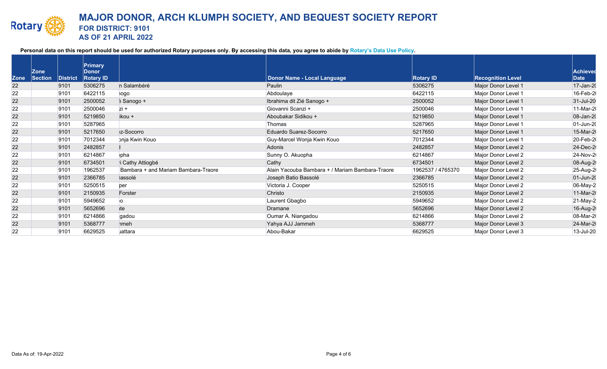|             | <b>Zone</b> |                         | Primary<br><b>Donor</b> |                                     |                                                 |                   |                          | <b>Achieved</b> |
|-------------|-------------|-------------------------|-------------------------|-------------------------------------|-------------------------------------------------|-------------------|--------------------------|-----------------|
| <b>Zone</b> | Section     | $\blacksquare$ District | <b>Rotary ID</b>        |                                     | Donor Name - Local Language                     | <b>Rotary ID</b>  | <b>Recognition Level</b> | Date            |
| 22          |             | 9101                    | 5306275                 | n Salambéré                         | Paulin                                          | 5306275           | Major Donor Level 1      | 17-Jan-20       |
| 22          |             | 9101                    | 6422115                 | 10go                                | Abdoulaye                                       | 6422115           | Major Donor Level 1      | 16-Feb-2        |
| 22          |             | 9101                    | 2500052                 | 5 Sanogo +                          | Ibrahima dit Zié Sanogo +                       | 2500052           | Major Donor Level 1      | 31-Jul-20       |
| 22          |             | 9101                    | 2500046                 | $zi +$                              | Giovanni Scanzi +                               | 2500046           | Major Donor Level 1      | 11-Mar-2        |
| 22          |             | 9101                    | 5219850                 | ikou +                              | Aboubakar Sidikou +                             | 5219850           | Major Donor Level 1      | 08-Jan-20       |
| 22          |             | 9101                    | 5287965                 |                                     | Thomas                                          | 5287965           | Major Donor Level 1      | 01-Jun-20       |
| 22          |             | 9101                    | 5217650                 | :z-Socorro                          | Eduardo Suarez-Socorro                          | 5217650           | Major Donor Level 1      | 15-Mar-2        |
| 22          |             | 9101                    | 7012344                 | bnja Kwin Kouo                      | Guy-Marcel Wonja Kwin Kouo                      | 7012344           | Major Donor Level 1      | 20-Feb-2        |
| 22          |             | 9101                    | 2482857                 |                                     | Adonis                                          | 2482857           | Major Donor Level 2      | 24-Dec-2        |
| 22          |             | 9101                    | 6214867                 | pha                                 | Sunny O. Akuopha                                | 6214867           | Major Donor Level 2      | 24-Nov-2        |
| 22          |             | 9101                    | 6734501                 | <sup>i</sup> Cathy Attiogbé         | Cathy                                           | 6734501           | Major Donor Level 2      | 08-Aug-2        |
| 22          |             | 9101                    | 1962537                 | Bambara + and Mariam Bambara-Traore | Alain Yacouba Bambara + / Mariam Bambara-Traore | 1962537 / 4765370 | Major Donor Level 2      | 25-Aug-2        |
| 22          |             | 9101                    | 2366785                 | <b>Jassolé</b>                      | Joseph Batio Bassolé                            | 2366785           | Major Donor Level 2      | 01-Jun-20       |
| 22          |             | 9101                    | 5250515                 | per                                 | Victoria J. Cooper                              | 5250515           | Major Donor Level 2      | 06-May-2        |
| 22          |             | 9101                    | 2150935                 | Forster                             | Christo                                         | 2150935           | Major Donor Level 2      | 11-Mar-2        |
| 22          |             | 9101                    | 5949652                 | O                                   | Laurent Gbagbo                                  | 5949652           | Major Donor Level 2      | 21-May-2        |
| 22          |             | 9101                    | 5652696                 | ite                                 | Dramane                                         | 5652696           | Major Donor Level 2      | 16-Aug-2        |
| 22          |             | 9101                    | 6214866                 | gadou                               | Oumar A. Niangadou                              | 6214866           | Major Donor Level 2      | 08-Mar-2        |
| 22          |             | 9101                    | 5368777                 | hmeh                                | Yahya AJJ Jammeh                                | 5368777           | Major Donor Level 3      | 24-Mar-2        |
| 22          |             | 9101                    | 6629525                 | Jattara                             | Abou-Bakar                                      | 6629525           | Major Donor Level 3      | 13-Jul-20       |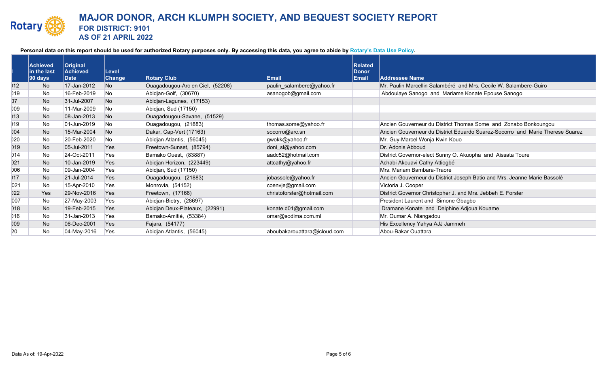|     | <b>Achieved</b><br>in the last | Original<br>Achieved | Level          |                                  |                              | <b>Related</b><br><b>Donor</b> |                                                                               |
|-----|--------------------------------|----------------------|----------------|----------------------------------|------------------------------|--------------------------------|-------------------------------------------------------------------------------|
|     | 90 days                        | Date                 | <b>Change</b>  | <b>Rotary Club</b>               | Email                        | <b>Email</b>                   | <b>Addressee Name</b>                                                         |
| )12 | No.                            | 17-Jan-2012          | <b>No</b>      | Ouagadougou-Arc en Ciel, (52208) | paulin_salambere@yahoo.fr    |                                | Mr. Paulin Marcellin Salambéré and Mrs. Cecile W. Salambere-Guiro             |
| 019 | No.                            | 16-Feb-2019          | N <sub>o</sub> | Abidjan-Golf, (30670)            | asanogob@gmail.com           |                                | Abdoulaye Sanogo and Mariame Konate Epouse Sanogo                             |
| 07  | No                             | 31-Jul-2007          | <b>No</b>      | Abidjan-Lagunes, (17153)         |                              |                                |                                                                               |
| 009 | <b>No</b>                      | 11-Mar-2009          | <b>No</b>      | Abidjan, Sud (17150)             |                              |                                |                                                                               |
| )13 | No.                            | 08-Jan-2013          | <b>No</b>      | Ouagadougou-Savane, (51529)      |                              |                                |                                                                               |
| )19 | <b>No</b>                      | 01-Jun-2019          | No.            | Ouagadougou, (21883)             | thomas.some@yahoo.fr         |                                | Ancien Gouverneur du District Thomas Some and Zonabo Bonkoungou               |
| 004 | No                             | 15-Mar-2004          | No.            | Dakar, Cap-Vert (17163)          | socorro@arc.sn               |                                | Ancien Gouverneur du District Eduardo Suarez-Socorro and Marie Therese Suarez |
| 020 | <b>No</b>                      | 20-Feb-2020          | <b>No</b>      | Abidjan Atlantis, (56045)        | gwokk@yahoo.fr               |                                | Mr. Guy-Marcel Wonja Kwin Kouo                                                |
| 019 | No                             | 05-Jul-2011          | Yes            | Freetown-Sunset, (85794)         | doni_sl@yahoo.com            |                                | Dr. Adonis Abboud                                                             |
| 014 | <b>No</b>                      | 24-Oct-2011          | Yes            | Bamako Ouest, (83887)            | aadc52@hotmail.com           |                                | District Governor-elect Sunny O. Akuopha and Aissata Toure                    |
| 021 | <b>No</b>                      | 10-Jan-2019          | <b>Yes</b>     | Abidjan Horizon, (223449)        | attcathy@yahoo.fr            |                                | Achabi Akouavi Cathy Attiogbé                                                 |
| 006 | No                             | 09-Jan-2004          | Yes            | Abidjan, Sud (17150)             |                              |                                | Mrs. Mariam Bambara-Traore                                                    |
| )17 | <b>No</b>                      | 21-Jul-2014          | <b>Yes</b>     | Ouagadougou, (21883)             | jobassole@yahoo.fr           |                                | Ancien Gouverneur du District Joseph Batio and Mrs. Jeanne Marie Bassolé      |
| 021 | No                             | 15-Apr-2010          | Yes            | Monrovia, (54152)                | coenvje@gmail.com            |                                | Victoria J. Cooper                                                            |
| 022 | <b>Yes</b>                     | 29-Nov-2016          | Yes            | Freetown, (17166)                | christoforster@hotmail.com   |                                | District Governor Christopher J. and Mrs. Jebbeh E. Forster                   |
| 007 | No                             | 27-May-2003          | Yes            | Abidjan-Bietry, (28697)          |                              |                                | President Laurent and Simone Gbagbo                                           |
| 018 | No.                            | 19-Feb-2015          | Yes            | Abidjan Deux-Plateaux, (22991)   | konate.d01@gmail.com         |                                | Dramane Konate and Delphine Adjoua Kouame                                     |
| 016 | No                             | 31-Jan-2013          | Yes            | Bamako-Amitié, (53384)           | omar@sodima.com.ml           |                                | Mr. Oumar A. Niangadou                                                        |
| 009 | No                             | 06-Dec-2001          | Yes            | Fajara, (54177)                  |                              |                                | His Excellency Yahya AJJ Jammeh                                               |
| 20  | No                             | 04-May-2016          | Yes            | Abidjan Atlantis, (56045)        | aboubakarouattara@icloud.com |                                | Abou-Bakar Ouattara                                                           |